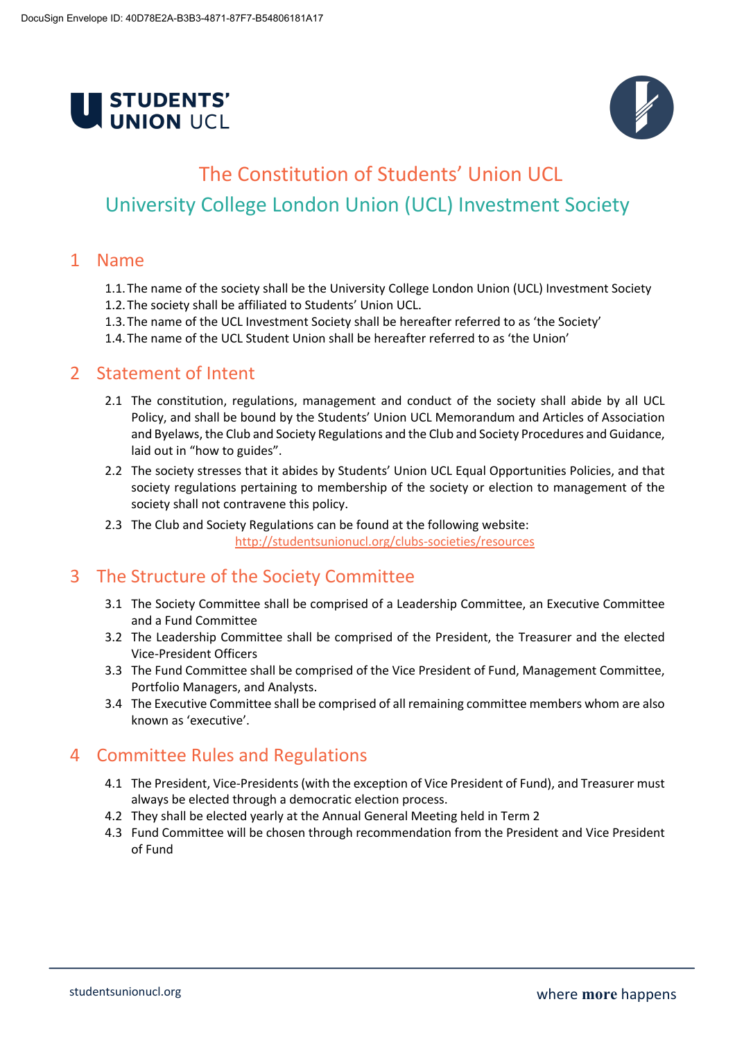



# The Constitution of Students' Union UCL University College London Union (UCL) Investment Society

### 1 Name

- 1.1.The name of the society shall be the University College London Union (UCL) Investment Society
- 1.2.The society shall be affiliated to Students' Union UCL.
- 1.3.The name of the UCL Investment Society shall be hereafter referred to as 'the Society'
- 1.4.The name of the UCL Student Union shall be hereafter referred to as 'the Union'

# 2 Statement of Intent

- 2.1 The constitution, regulations, management and conduct of the society shall abide by all UCL Policy, and shall be bound by the Students' Union UCL Memorandum and Articles of Association and Byelaws, the Club and Society Regulations and the Club and Society Procedures and Guidance, laid out in "how to guides".
- 2.2 The society stresses that it abides by Students' Union UCL Equal Opportunities Policies, and that society regulations pertaining to membership of the society or election to management of the society shall not contravene this policy.
- 2.3 The Club and Society Regulations can be found at the following website: http://studentsunionucl.org/clubs-societies/resources

# 3 The Structure of the Society Committee

- 3.1 The Society Committee shall be comprised of a Leadership Committee, an Executive Committee and a Fund Committee
- 3.2 The Leadership Committee shall be comprised of the President, the Treasurer and the elected Vice-President Officers
- 3.3 The Fund Committee shall be comprised of the Vice President of Fund, Management Committee, Portfolio Managers, and Analysts.
- 3.4 The Executive Committee shall be comprised of all remaining committee members whom are also known as 'executive'.

# 4 Committee Rules and Regulations

- 4.1 The President, Vice-Presidents(with the exception of Vice President of Fund), and Treasurer must always be elected through a democratic election process.
- 4.2 They shall be elected yearly at the Annual General Meeting held in Term 2
- 4.3 Fund Committee will be chosen through recommendation from the President and Vice President of Fund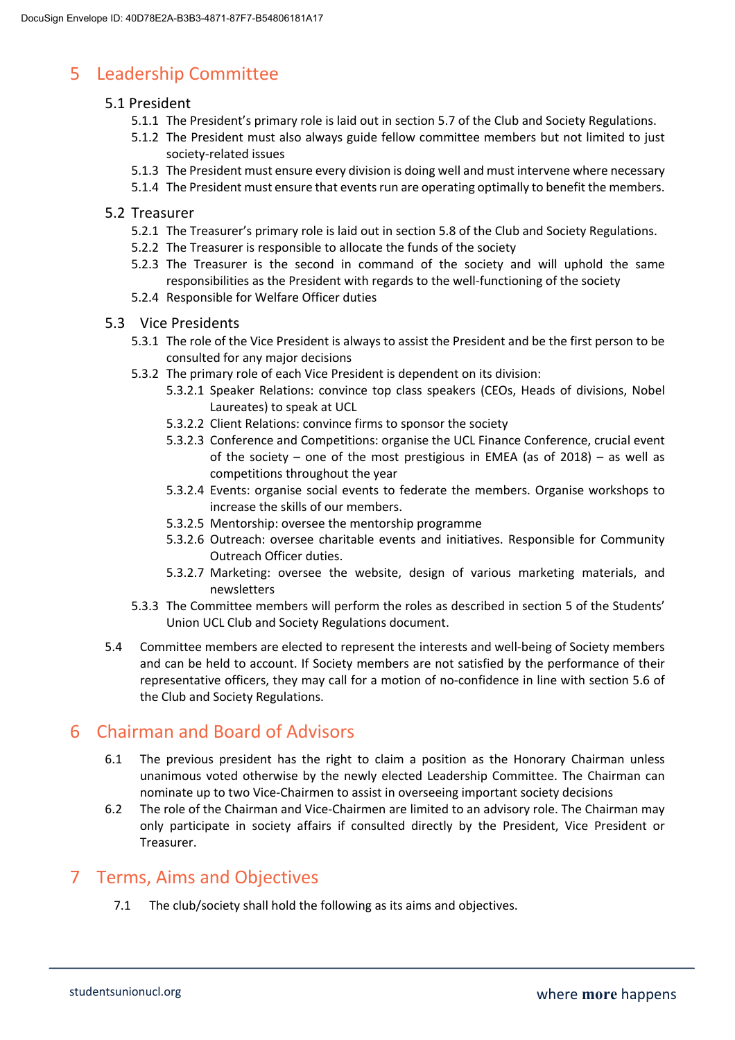# 5 Leadership Committee

### 5.1 President

- 5.1.1 The President's primary role is laid out in section 5.7 of the Club and Society Regulations.
- 5.1.2 The President must also always guide fellow committee members but not limited to just society-related issues
- 5.1.3 The President must ensure every division is doing well and must intervene where necessary
- 5.1.4 The President must ensure that events run are operating optimally to benefit the members.

#### 5.2 Treasurer

- 5.2.1 The Treasurer's primary role is laid out in section 5.8 of the Club and Society Regulations.
- 5.2.2 The Treasurer is responsible to allocate the funds of the society
- 5.2.3 The Treasurer is the second in command of the society and will uphold the same responsibilities as the President with regards to the well-functioning of the society
- 5.2.4 Responsible for Welfare Officer duties
- 5.3 Vice Presidents
	- 5.3.1 The role of the Vice President is always to assist the President and be the first person to be consulted for any major decisions
	- 5.3.2 The primary role of each Vice President is dependent on its division:
		- 5.3.2.1 Speaker Relations: convince top class speakers (CEOs, Heads of divisions, Nobel Laureates) to speak at UCL
		- 5.3.2.2 Client Relations: convince firms to sponsor the society
		- 5.3.2.3 Conference and Competitions: organise the UCL Finance Conference, crucial event of the society – one of the most prestigious in EMEA (as of 2018) – as well as competitions throughout the year
		- 5.3.2.4 Events: organise social events to federate the members. Organise workshops to increase the skills of our members.
		- 5.3.2.5 Mentorship: oversee the mentorship programme
		- 5.3.2.6 Outreach: oversee charitable events and initiatives. Responsible for Community Outreach Officer duties.
		- 5.3.2.7 Marketing: oversee the website, design of various marketing materials, and newsletters
	- 5.3.3 The Committee members will perform the roles as described in section 5 of the Students' Union UCL Club and Society Regulations document.
- 5.4 Committee members are elected to represent the interests and well-being of Society members and can be held to account. If Society members are not satisfied by the performance of their representative officers, they may call for a motion of no-confidence in line with section 5.6 of the Club and Society Regulations.

# 6 Chairman and Board of Advisors

- 6.1 The previous president has the right to claim a position as the Honorary Chairman unless unanimous voted otherwise by the newly elected Leadership Committee. The Chairman can nominate up to two Vice-Chairmen to assist in overseeing important society decisions
- 6.2 The role of the Chairman and Vice-Chairmen are limited to an advisory role. The Chairman may only participate in society affairs if consulted directly by the President, Vice President or Treasurer.

# 7 Terms, Aims and Objectives

7.1 The club/society shall hold the following as its aims and objectives.